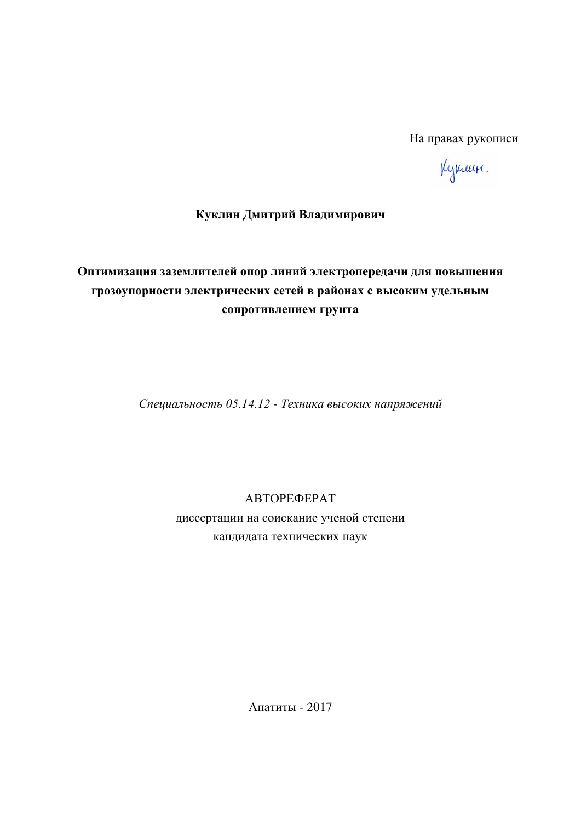На правах рукописи

Kynan.

# Куклин Дмитрий Владимирович

# Оптимизация заземлителей опор линий электропередачи для повышения грозоупорности электрических сетей в районах с высоким удельным сопротивлением грунта

Специальность 05.14.12 - Техника высоких напряжений

ABTOPEФEPAT диссертации на соискание ученой степени кандидата технических наук

Апатиты - 2017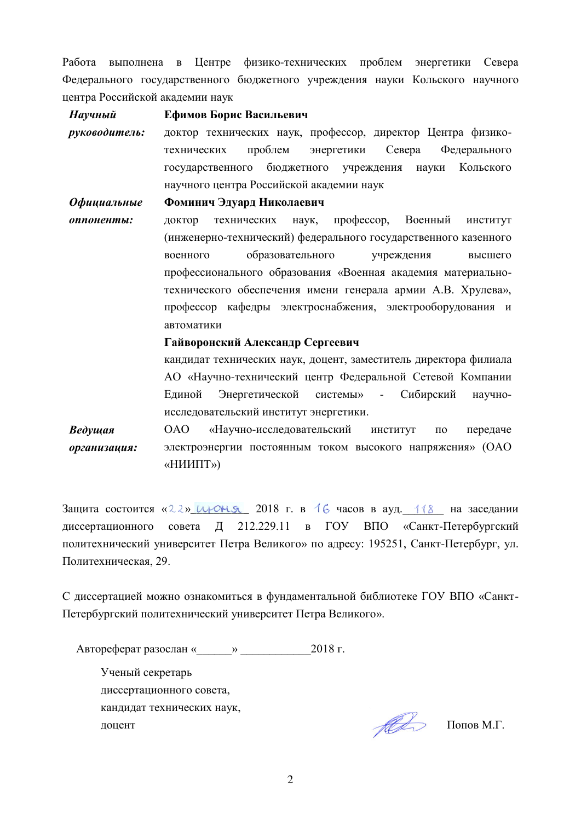Работа выполнена в Центре физико-технических проблем энергетики Севера Федерального государственного бюджетного учреждения науки Кольского научного центра Российской академии наук

 $\boldsymbol{H}$ аvчный  $p$ *үкөвөдитель*: **Ефимов Борис Васильевич** доктор технических наук, профессор, директор Центра физикотехнических проблем энергетики Севера Федерального государственного бюджетного учреждения науки Кольского научного центра Российской академии наук *Ɉɮɢɰɢаɥɶɧɵɟ оппоненты:* Фоминич Эдуард Николаевич доктор технических наук, профессор, Военный институт (инженерно-технический) федерального государственного казенного военного образовательного учреждения высшего профессионального образования «Военная академия материальнотехнического обеспечения имени генерала армии А.В. Хрулева», профессор кафедры электроснабжения, электрооборудования и автоматики

**Гайворонский Александр Сергеевич** 

кандидат технических наук, доцент, заместитель директора филиала АО «Научно-технический центр Федеральной Сетевой Компании Единой Энергетической системы» - Сибирский научноисследовательский институт энергетики.

*Вɟɞɭщая*   $opca$ низация: ОАО «Научно-исследовательский институт по передаче электроэнергии постоянным током высокого напряжения» (ОАО «НИИПТ»)

Защита состоится « $22$ »  $\mu$  $\sim$ н $\ll$  2018 г. в 16 часов в ауд. 118 на заседании диссертационного совета Д 212.229.11 в ГОУ ВПО «Санкт-Петербургский политехнический университет Петра Великого» по адресу: 195251, Санкт-Петербург, ул. Политехническая, 29.

С диссертацией можно ознакомиться в фундаментальной библиотеке ГОУ ВПО «Санкт-Петербургский политехнический университет Петра Великого».

Ⱥɜɬɨɪɟɮɟɪɚɬ ɪɚɡɨɫɥɚɧ «\_\_\_\_\_\_» \_\_\_\_\_\_\_\_\_\_\_\_2018 ɝ.

Ученый секретарь диссертационного совета, кандидат технических наук,  $\mathscr{H}$   $\mathscr{H}$   $\mathscr{H}$   $\mathscr{H}$   $\mathscr{H}$   $\mathscr{H}$   $\mathscr{H}$   $\mathscr{H}$   $\mathscr{H}$   $\mathscr{H}$   $\mathscr{H}$   $\mathscr{H}$   $\mathscr{H}$   $\mathscr{H}$   $\mathscr{H}$   $\mathscr{H}$   $\mathscr{H}$   $\mathscr{H}$   $\mathscr{H}$   $\mathscr{H}$   $\mathscr{H}$   $\mathscr{H}$   $\mathscr{H}$   $\mathscr{H}$   $\mathscr{$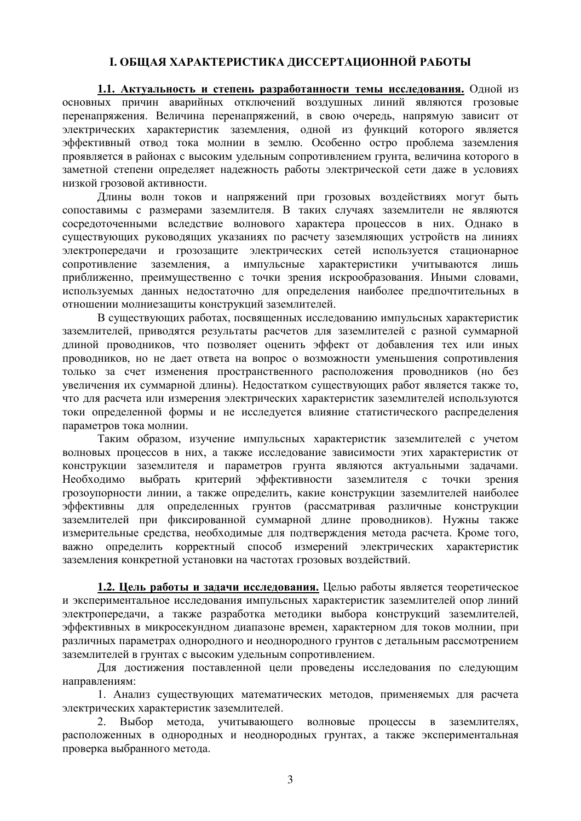# **І. ОБШАЯ ХАРАКТЕРИСТИКА ЛИССЕРТАЦИОННОЙ РАБОТЫ**

1.1. Актуальность и степень разработанности темы исследования. Одной из основных причин аварийных отключений воздушных линий являются грозовые перенапряжения. Величина перенапряжений, в свою очередь, напрямую зависит от электрических характеристик заземления, одной из функций которого является эффективный отвод тока молнии в землю. Особенно остро проблема заземления проявляется в районах с высоким удельным сопротивлением грунта, величина которого в заметной степени определяет надежность работы электрической сети даже в условиях низкой грозовой активности.

Длины волн токов и напряжений при грозовых воздействиях могут быть сопоставимы с размерами заземлителя. В таких случаях заземлители не являются сосредоточенными вследствие волнового характера процессов в них. Однако в существующих руководящих указаниях по расчету заземляющих устройств на линиях электропередачи и грозозащите электрических сетей используется стационарное сопротивление заземления, а импульсные характеристики учитываются лишь приближенно, преимущественно с точки зрения искрообразования. Иными словами, используемых данных недостаточно для определения наиболее предпочтительных в отношении молниезащиты конструкций заземлителей.

В существующих работах, посвященных исследованию импульсных характеристик заземлителей, приводятся результаты расчетов для заземлителей с разной суммарной длиной проводников, что позволяет оценить эффект от добавления тех или иных проводников, но не дает ответа на вопрос о возможности уменьшения сопротивления только за счет изменения пространственного расположения проводников (но без үвеличения их суммарной длины). Недостатком существующих работ является также то, что для расчета или измерения электрических характеристик заземлителей используются токи определенной формы и не исследуется влияние статистического распределения параметров тока молнии.

Таким образом, изучение импульсных характеристик заземлителей с учетом волновых процессов в них, а также исследование зависимости этих характеристик от конструкции заземлителя и параметров грунта являются актуальными задачами. Необходимо выбрать критерий эффективности заземлителя с точки зрения грозоупорности линии, а также определить, какие конструкции заземлителей наиболее эффективны для определенных грунтов (рассматривая различные конструкции заземлителей при фиксированной суммарной длине проводников). Нужны также измерительные средства, необходимые для подтверждения метода расчета. Кроме того, важно определить корректный способ измерений электрических характеристик заземления конкретной установки на частотах грозовых воздействий.

1.2. Цель работы и задачи исследования. Целью работы является теоретическое и экспериментальное исследования импульсных характеристик заземлителей опор линий электропередачи, а также разработка методики выбора конструкций заземлителей, эффективных в микросекундном диапазоне времен, характерном для токов молнии, при различных параметрах однородного и неоднородного грунтов с детальным рассмотрением заземлителей в грунтах с высоким удельным сопротивлением.

Для лостижения поставленной цели провелены исслелования по слелующим направлениям:

1. Анализ существующих математических методов, применяемых для расчета электрических характеристик заземлителей.

2. Выбор метода, учитывающего волновые процессы в заземлителях, расположенных в однородных и неоднородных грунтах, а также экспериментальная проверка выбранного метода.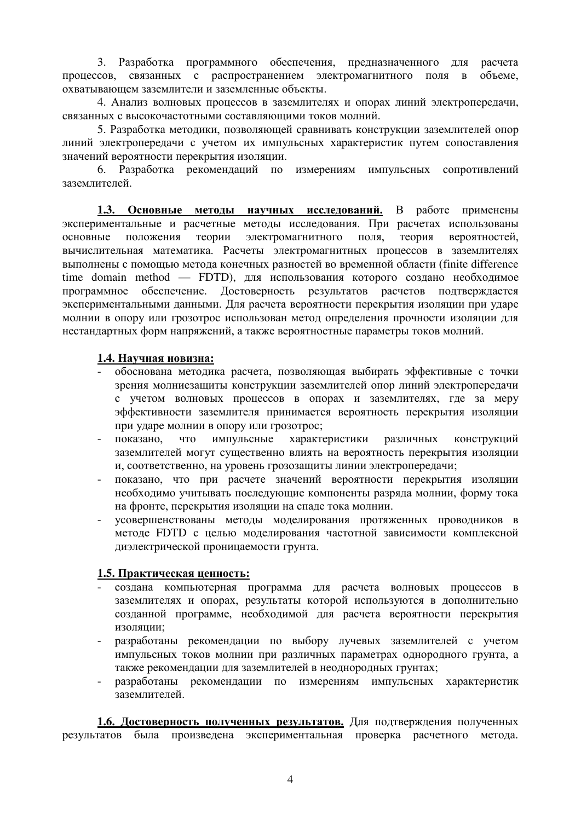3. Разработка программного обеспечения, предназначенного для расчета процессов, связанных с распространением электромагнитного поля в объеме, охватывающем заземлители и заземленные объекты.

4. Анализ волновых процессов в заземлителях и опорах линий электропередачи, связанных с высокочастотными составляющими токов молний.

5. Разработка методики, позволяющей сравнивать конструкции заземлителей опор линий электропередачи с учетом их импульсных характеристик путем сопоставления значений вероятности перекрытия изоляции.

6. Разработка рекомендаций по измерениям импульсных сопротивлений заземлителей.

1.3. Основные метолы научных исследований. В работе применены экспериментальные и расчетные методы исследования. При расчетах использованы основные положения теории электромагнитного поля, теория вероятностей, вычислительная математика. Расчеты электромагнитных процессов в заземлителях выполнены с помощью метода конечных разностей во временной области (finite difference time domain method — FDTD), для использования которого создано необходимое программное обеспечение. Достоверность результатов расчетов подтверждается экспериментальными данными. Для расчета вероятности перекрытия изоляции при ударе молнии в опору или грозотрос использован метод определения прочности изоляции для нестандартных форм напряжений, а также вероятностные параметры токов молний.

#### 1.4. Научная новизна:

- обоснована метолика расчета, позволяющая выбирать эффективные с точки зрения молниезащиты конструкции заземлителей опор линий электропередачи с учетом волновых процессов в опорах и заземлителях, где за меру эффективности заземлителя принимается вероятность перекрытия изоляции при ударе молнии в опору или грозотрос;
- показано, что импульсные характеристики различных конструкций заземлителей могут существенно влиять на вероятность перекрытия изоляции и, соответственно, на уровень грозозащиты линии электропередачи;
- показано, что при расчете значений вероятности перекрытия изоляции необходимо учитывать последующие компоненты разряда молнии, форму тока на фронте, перекрытия изоляции на спаде тока молнии.
- усовершенствованы методы моделирования протяженных проводников в метоле FDTD с целью молелирования частотной зависимости комплексной диэлектрической проницаемости грунта.

#### **1.5. Практическая ценность:**

- создана компьютерная программа для расчета волновых процессов в заземлителях и опорах, результаты которой используются в дополнительно созданной программе, необходимой для расчета вероятности перекрытия изоляции;
- разработаны рекомендации по выбору лучевых заземлителей с учетом импульсных токов молнии при различных параметрах однородного грунта, а также рекомендации для заземлителей в неоднородных грунтах:
- разработаны рекомендации по измерениям импульсных характеристик заземлителей.

1.6. Достоверность полученных результатов. Для подтверждения полученных результатов была произведена экспериментальная проверка расчетного метода.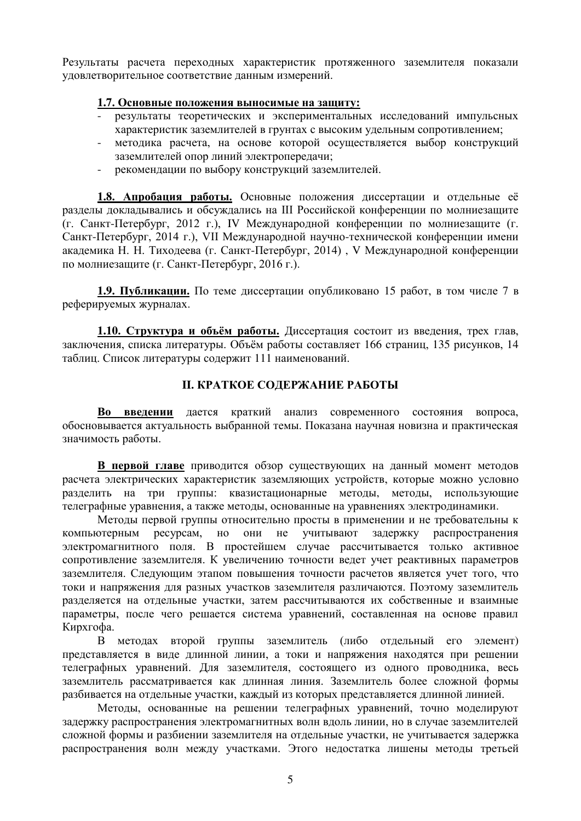Результаты расчета переходных характеристик протяженного заземлителя показали удовлетворительное соответствие данным измерений.

#### 1.7. Основные положения выносимые на защиту:

- результаты теоретических и экспериментальных исследований импульсных характеристик заземлителей в грунтах с высоким удельным сопротивлением;
- методика расчета, на основе которой осуществляется выбор конструкций заземлителей опор линий электропередачи;
- рекомендации по выбору конструкций заземлителей.

1.8. Апробация работы. Основные положения диссертации и отдельные её разделы докладывались и обсуждались на III Российской конференции по молниезащите (г. Санкт-Петербург, 2012 г.), IV Международной конференции по молниезащите (г. Санкт-Петербург, 2014 г.), VII Международной научно-технической конференции имени академика Н. Н. Тиходеева (г. Санкт-Петербург, 2014), V Международной конференции по молниезащите (г. Санкт-Петербург, 2016 г.).

**1.9. Публикации.** По теме диссертации опубликовано 15 работ, в том числе 7 в реферируемых журналах.

**1.10. Структура и объём работы.** Диссертация состоит из введения, трех глав, заключения, списка литературы. Объём работы составляет 166 страниц, 135 рисунков, 14 таблиц. Список литературы содержит 111 наименований.

### **II. КРАТКОЕ СОДЕРЖАНИЕ РАБОТЫ**

Во введении дается краткий анализ современного состояния вопроса, обосновывается актуальность выбранной темы. Показана научная новизна и практическая значимость работы.

**В первой главе** приводится обзор существующих на данный момент методов расчета электрических характеристик заземляющих устройств, которые можно условно разделить на три группы: квазистационарные методы, методы, использующие телеграфные уравнения, а также методы, основанные на уравнениях электродинамики.

Методы первой группы относительно просты в применении и не требовательны к компьютерным ресурсам, но они не учитывают задержку распространения электромагнитного поля. В простейшем случае рассчитывается только активное сопротивление заземлителя. К увеличению точности ведет учет реактивных параметров заземлителя. Следующим этапом повышения точности расчетов является учет того, что токи и напряжения для разных участков заземлителя различаются. Поэтому заземлитель разделяется на отдельные участки, затем рассчитываются их собственные и взаимные параметры, после чего решается система уравнений, составленная на основе правил Кирхгофа.

В методах второй группы заземлитель (либо отдельный его элемент) представляется в виде длинной линии, а токи и напряжения находятся при решении телеграфных уравнений. Для заземлителя, состоящего из одного проводника, весь заземлитель рассматривается как длинная линия. Заземлитель более сложной формы разбивается на отдельные участки, каждый из которых представляется длинной линией.

Методы, основанные на решении телеграфных уравнений, точно моделируют задержку распространения электромагнитных волн вдоль линии, но в случае заземлителей сложной формы и разбиении заземлителя на отдельные участки, не учитывается задержка распространения волн между участками. Этого недостатка лишены методы третьей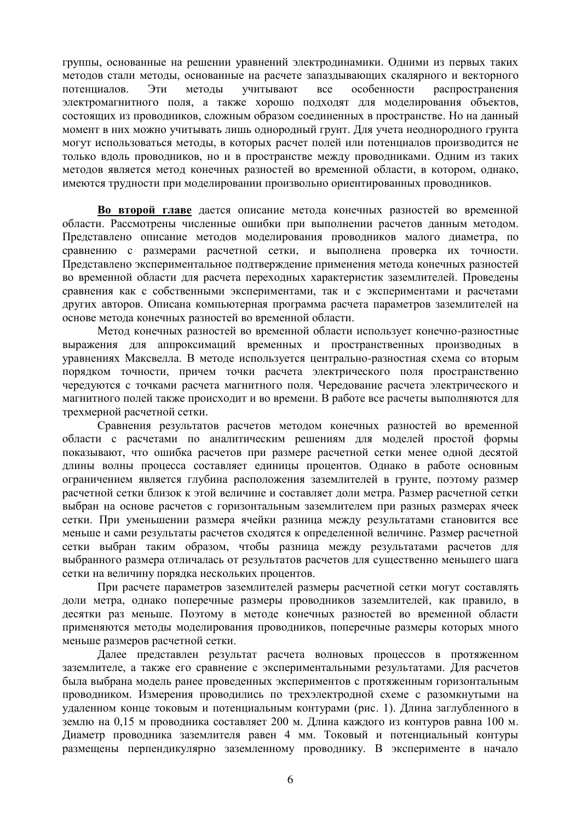группы, основанные на решении уравнений электродинамики. Одними из первых таких методов стали методы, основанные на расчете запаздывающих скалярного и векторного потенциалов. Эти методы учитывают все особенности распространения электромагнитного поля, а также хорошо подходят для моделирования объектов, состоящих из проводников, сложным образом соединенных в пространстве. Но на данный момент в них можно учитывать лишь однородный грунт. Для учета неоднородного грунта могут использоваться методы, в которых расчет полей или потенциалов производится не только вдоль проводников, но и в пространстве между проводниками. Одним из таких методов является метод конечных разностей во временной области, в котором, однако, имеются трудности при моделировании произвольно ориентированных проводников.

Во второй главе дается описание метода конечных разностей во временной области. Рассмотрены численные ошибки при выполнении расчетов данным методом. Представлено описание методов моделирования проводников малого диаметра, по сравнению с размерами расчетной сетки, и выполнена проверка их точности. Представлено экспериментальное подтверждение применения метода конечных разностей во временной области для расчета переходных характеристик заземлителей. Проведены сравнения как с собственными экспериментами, так и с экспериментами и расчетами других авторов. Описана компьютерная программа расчета параметров заземлителей на основе метода конечных разностей во временной области.

Метод конечных разностей во временной области использует конечно-разностные выражения для аппроксимаций временных и пространственных производных в уравнениях Максвелла. В методе используется центрально-разностная схема со вторым порядком точности, причем точки расчета электрического поля пространственно чередуются с точками расчета магнитного поля. Чередование расчета электрического и магнитного полей также происходит и во времени. В работе все расчеты выполняются для трехмерной расчетной сетки.

Сравнения результатов расчетов методом конечных разностей во временной области с расчетами по аналитическим решениям для моделей простой формы показывают, что ошибка расчетов при размере расчетной сетки менее одной десятой длины волны процесса составляет единицы процентов. Однако в работе основным ограничением является глубина расположения заземлителей в грунте, поэтому размер расчетной сетки близок к этой величине и составляет доли метра. Размер расчетной сетки выбран на основе расчетов с горизонтальным заземлителем при разных размерах ячеек сетки. При уменьшении размера ячейки разница между результатами становится все меньше и сами результаты расчетов сходятся к определенной величине. Размер расчетной сетки выбран таким образом, чтобы разница между результатами расчетов для выбранного размера отличалась от результатов расчетов для существенно меньшего шага сетки на величину порядка нескольких процентов.

При расчете параметров заземлителей размеры расчетной сетки могут составлять доли метра, однако поперечные размеры проводников заземлителей, как правило, в десятки раз меньше. Поэтому в методе конечных разностей во временной области применяются методы моделирования проводников, поперечные размеры которых много меньше размеров расчетной сетки.

Далее представлен результат расчета волновых процессов в протяженном заземлителе, а также его сравнение с экспериментальными результатами. Для расчетов была выбрана модель ранее проведенных экспериментов с протяженным горизонтальным проводником. Измерения проводились по трехэлектродной схеме с разомкнутыми на удаленном конце токовым и потенциальным контурами (рис. 1). Длина заглубленного в землю на 0,15 м проводника составляет 200 м. Длина каждого из контуров равна 100 м. Диаметр проводника заземлителя равен 4 мм. Токовый и потенциальный контуры размещены перпендикулярно заземленному проводнику. В эксперименте в начало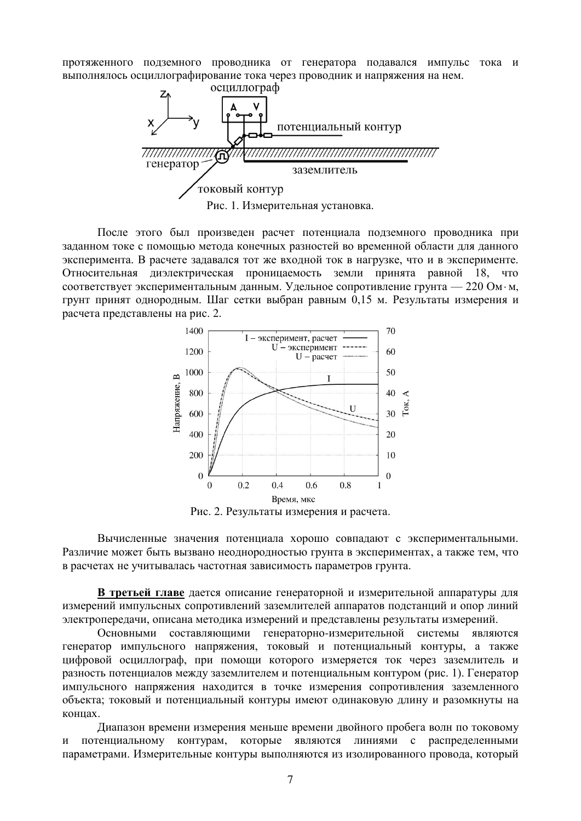протяженного подземного проводника от генератора подавался импульс тока и выполнялось осциллографирование тока через проводник и напряжения на нем.



После этого был произведен расчет потенциала подземного проводника при заданном токе с помощью метода конечных разностей во временной области для данного эксперимента. В расчете задавался тот же входной ток в нагрузке, что и в эксперименте. Относительная диэлектрическая проницаемость земли принята равной 18, что соответствует экспериментальным данным. Удельное сопротивление грунта — 220 Ом·м, грунт принят однородным. Шаг сетки выбран равным 0,15 м. Результаты измерения и расчета представлены на рис. 2.



Рис. 2. Результаты измерения и расчета.

Вычисленные значения потенциала хорошо совпадают с экспериментальными. Различие может быть вызвано неоднородностью грунта в экспериментах, а также тем, что в расчетах не учитывалась частотная зависимость параметров грунта.

**В третьей главе** дается описание генераторной и измерительной аппаратуры для измерений импульсных сопротивлений заземлителей аппаратов подстанций и опор линий электропередачи, описана методика измерений и представлены результаты измерений.

Основными составляющими генераторно-измерительной системы являются генератор импульсного напряжения, токовый и потенциальный контуры, а также цифровой осциллограф, при помощи которого измеряется ток через заземлитель и разность потенциалов между заземлителем и потенциальным контуром (рис. 1). Генератор импульсного напряжения находится в точке измерения сопротивления заземленного объекта; токовый и потенциальный контуры имеют одинаковую длину и разомкнуты на κοHIIax.

Диапазон времени измерения меньше времени двойного пробега волн по токовому и потенциальному контурам, которые являются линиями с распределенными параметрами. Измерительные контуры выполняются из изолированного провода, который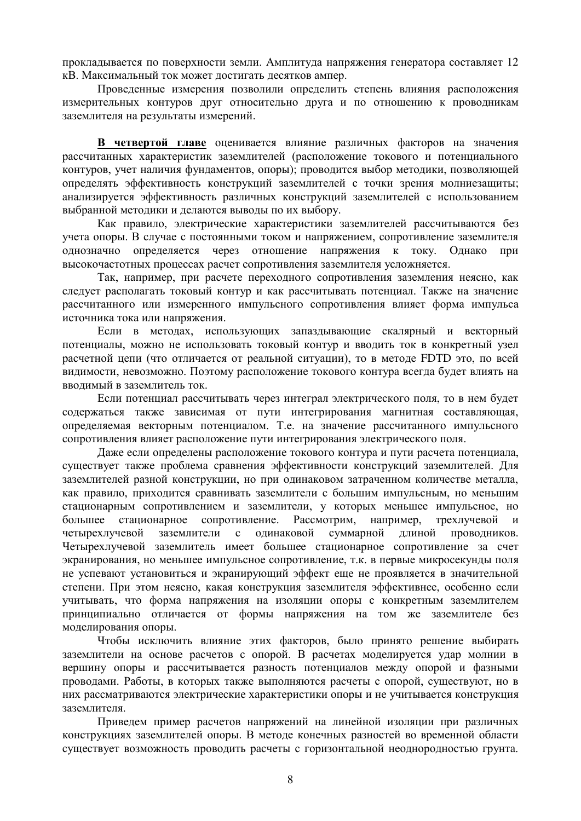прокладывается по поверхности земли. Амплитуда напряжения генератора составляет 12 кВ. Максимальный ток может достигать десятков ампер.

Проведенные измерения позволили определить степень влияния расположения измерительных контуров друг относительно друга и по отношению к проводникам заземлителя на результаты измерений.

В четвертой главе оценивается влияние различных факторов на значения рассчитанных характеристик заземлителей (расположение токового и потенциального контуров, учет наличия фундаментов, опоры); проводится выбор методики, позволяющей определять эффективность конструкций заземлителей с точки зрения молниезащиты; анализируется эффективность различных конструкций заземлителей с использованием выбранной метолики и делаются выволы по их выбору.

Как правило, электрические характеристики заземлителей рассчитываются без учета опоры. В случае с постоянными током и напряжением, сопротивление заземлителя однозначно определяется через отношение напряжения к току. Однако при высокочастотных процессах расчет сопротивления заземлителя усложняется.

Так, например, при расчете переходного сопротивления заземления неясно, как следует располагать токовый контур и как рассчитывать потенциал. Также на значение рассчитанного или измеренного импульсного сопротивления влияет форма импульса источника тока или напряжения.

Если в методах, использующих запаздывающие скалярный и векторный потенциалы, можно не использовать токовый контур и вводить ток в конкретный узел расчетной цепи (что отличается от реальной ситуации), то в методе FDTD это, по всей вилимости, невозможно. Поэтому расположение токового контура всегла булет влиять на вводимый в заземлитель ток.

Если потенциал рассчитывать через интеграл электрического поля, то в нем будет содержаться также зависимая от пути интегрирования магнитная составляющая, определяемая векторным потенциалом. Т.е. на значение рассчитанного импульсного сопротивления влияет расположение пути интегрирования электрического поля.

Даже если определены расположение токового контура и пути расчета потенциала, существует также проблема сравнения эффективности конструкций заземлителей. Для заземлителей разной конструкции, но при одинаковом затраченном количестве металла, как правило, приходится сравнивать заземлители с большим импульсным, но меньшим стационарным сопротивлением и заземлители, у которых меньшее импульсное, но большее стационарное сопротивление. Рассмотрим, например, трехлучевой четырехлучевой заземлители с одинаковой суммарной длиной проводников. Четырехлучевой заземлитель имеет большее стационарное сопротивление за счет экранирования, но меньшее импульсное сопротивление, т.к. в первые микросекунды поля не успевают установиться и экранирующий эффект еще не проявляется в значительной степени. При этом неясно, какая конструкция заземлителя эффективнее, особенно если учитывать, что форма напряжения на изоляции опоры с конкретным заземлителем принципиально отличается от формы напряжения на том же заземлителе без моделирования опоры.

Чтобы исключить влияние этих факторов, было принято решение выбирать заземлители на основе расчетов с опорой. В расчетах моделируется удар молнии в вершину опоры и рассчитывается разность потенциалов между опорой и фазными проводами. Работы, в которых также выполняются расчеты с опорой, существуют, но в них рассматриваются электрические характеристики опоры и не учитывается конструкция заземлителя.

Приведем пример расчетов напряжений на линейной изоляции при различных конструкциях заземлителей опоры. В методе конечных разностей во временной области существует возможность проводить расчеты с горизонтальной неоднородностью грунта.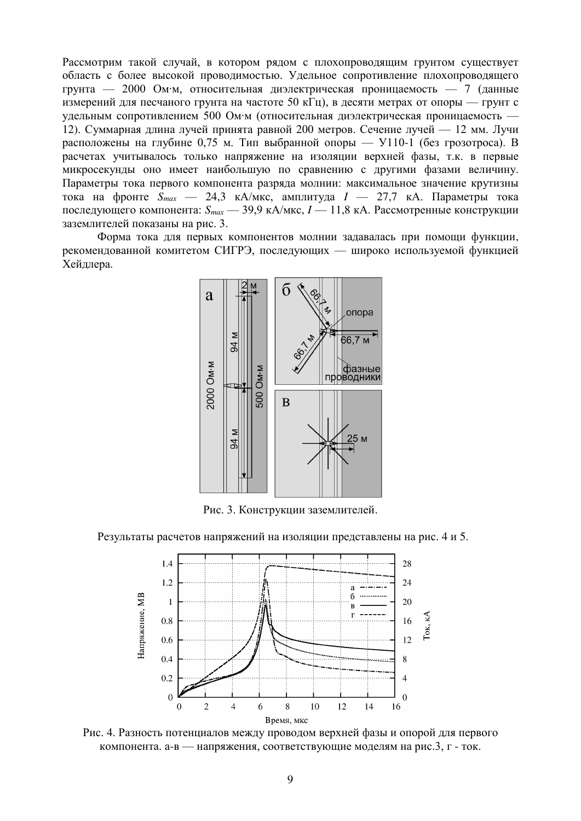Рассмотрим такой случай, в котором рядом с плохопроводящим грунтом существует область с более высокой проводимостью. Удельное сопротивление плохопроводящего грунта — 2000 Ом∙м, относительная диэлектрическая проницаемость — 7 (данные измерений для песчаного грунта на частоте 50 кГц), в десяти метрах от опоры — грунт с удельным сопротивлением 500 Ом∙м (относительная диэлектрическая проницаемость — 12). Суммарная длина лучей принята равной 200 метров. Сечение лучей — 12 мм. Лучи расположены на глубине 0,75 м. Тип выбранной опоры — У110-1 (без грозотроса). В расчетах учитывалось только напряжение на изоляции верхней фазы, т.к. в первые микросекунды оно имеет наибольшую по сравнению с другими фазами величину. Параметры тока первого компонента разряда молнии: максимальное значение крутизны тока на фронте  $S_{max}$  — 24,3 кА/мкс, амплитуда  $I$  — 27,7 кА. Параметры тока последующего компонента:  $S_{max}$  — 39,9 кА/мкс,  $I$  — 11,8 кА. Рассмотренные конструкции заземлителей показаны на рис. 3.

Форма тока для первых компонентов молнии задавалась при помощи функции, рекомендованной комитетом СИГРЭ, последующих — широко используемой функцией Хейдлера.



Рис. 3. Конструкции заземлителей.

Результаты расчетов напряжений на изоляции представлены на рис. 4 и 5.



Рис. 4. Разность потенциалов между проводом верхней фазы и опорой для первого компонента. а-в — напряжения, соответствующие моделям на рис.3, г - ток.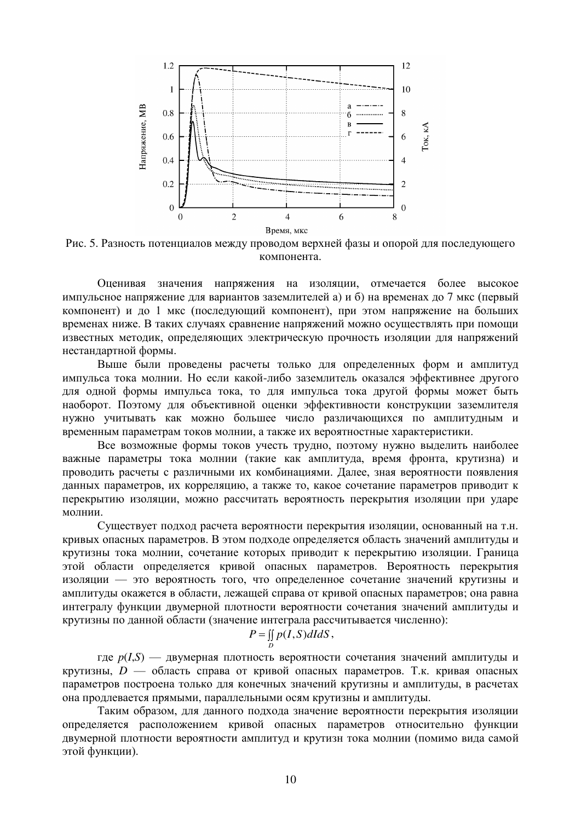

Рис. 5. Разность потенциалов между проводом верхней фазы и опорой для последующего компонента.

Оценивая значения напряжения на изоляции, отмечается более высокое импульсное напряжение для вариантов заземлителей а) и б) на временах до 7 мкс (первый компонент) и до 1 мкс (последующий компонент), при этом напряжение на больших временах ниже. В таких случаях сравнение напряжений можно осуществлять при помощи известных методик, определяющих электрическую прочность изоляции для напряжений нестандартной формы.

Выше были проведены расчеты только для определенных форм и амплитуд импульса тока молнии. Но если какой-либо заземлитель оказался эффективнее другого для одной формы импульса тока, то для импульса тока другой формы может быть наоборот. Поэтому для объективной оценки эффективности конструкции заземлителя нужно учитывать как можно большее число различающихся по амплитудным и временным параметрам токов молнии, а также их вероятностные характеристики.

Все возможные формы токов учесть трудно, поэтому нужно выделить наиболее важные параметры тока молнии (такие как амплитуда, время фронта, крутизна) и проводить расчеты с различными их комбинациями. Далее, зная вероятности появления данных параметров, их корреляцию, а также то, какое сочетание параметров приводит к перекрытию изоляции, можно рассчитать вероятность перекрытия изоляции при ударе молнии.

Существует подход расчета вероятности перекрытия изоляции, основанный на т.н. кривых опасных параметров. В этом подходе определяется область значений амплитуды и крутизны тока молнии, сочетание которых приводит к перекрытию изоляции. Граница этой области определяется кривой опасных параметров. Вероятность перекрытия изоляции — это вероятность того, что определенное сочетание значений крутизны и амплитулы окажется в области, лежашей справа от кривой опасных параметров; она равна интегралу функции двумерной плотности вероятности сочетания значений амплитуды и крутизны по данной области (значение интеграла рассчитывается численно):

$$
P = \iint_D p(I, S) dI dS,
$$

 $T \to p(I,S)$  — двумерная плотность вероятности сочетания значений амплитуды и крутизны,  $D$  — область справа от кривой опасных параметров. Т.к. кривая опасных параметров построена только для конечных значений крутизны и амплитуды, в расчетах она продлевается прямыми, параллельными осям крутизны и амплитуды.

Таким образом, лля данного подхода значение вероятности перекрытия изоляции определяется расположением кривой опасных параметров относительно функции двумерной плотности вероятности амплитуд и крутизн тока молнии (помимо вида самой этой функции).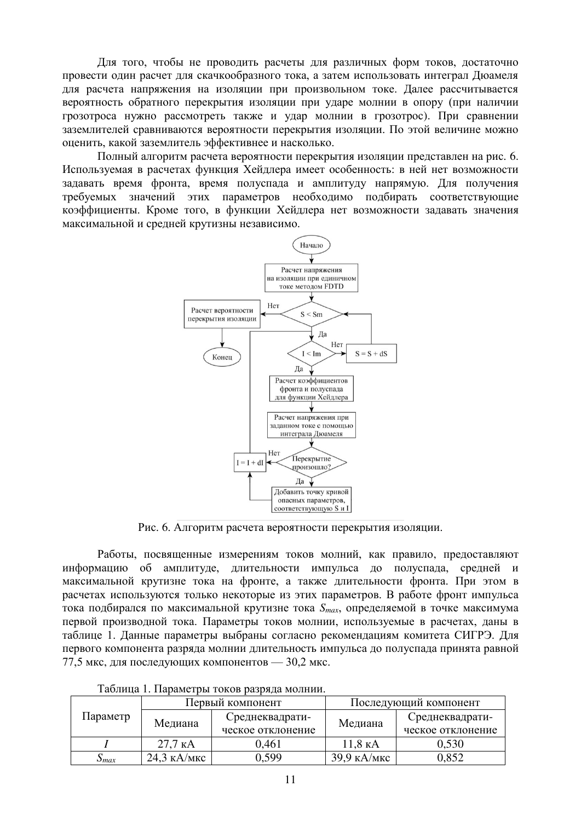Для того, чтобы не проводить расчеты для различных форм токов, достаточно провести один расчет для скачкообразного тока, а затем использовать интеграл Дюамеля для расчета напряжения на изоляции при произвольном токе. Далее рассчитывается вероятность обратного перекрытия изоляции при ударе молнии в опору (при наличии грозотроса нужно рассмотреть также и удар молнии в грозотрос). При сравнении заземлителей сравниваются вероятности перекрытия изоляции. По этой величине можно оценить, какой заземлитель эффективнее и насколько.

Полный алгоритм расчета вероятности перекрытия изоляции представлен на рис. 6. Используемая в расчетах функция Хейдлера имеет особенность: в ней нет возможности задавать время фронта, время полуспада и амплитуду напрямую. Для получения требуемых значений этих параметров необходимо подбирать соответствующие коэффициенты. Кроме того, в функции Хейллера нет возможности залавать значения максимальной и средней крутизны независимо.



Рис. 6. Алгоритм расчета вероятности перекрытия изоляции.

Работы, посвященные измерениям токов молний, как правило, предоставляют информацию об амплитуде, длительности импульса до полуспада, средней и максимальной крутизне тока на фронте, а также длительности фронта. При этом в расчетах используются только некоторые из этих параметров. В работе фронт импульса тока подбирался по максимальной крутизне тока  $S_{max}$ , определяемой в точке максимума первой производной тока. Параметры токов молнии, используемые в расчетах, даны в таблице 1. Данные параметры выбраны согласно рекомендациям комитета СИГРЭ. Для первого компонента разряда молнии длительность импульса до полуспада принята равной 77,5 мкс, для последующих компонентов — 30,2 мкс.

| Параметр            | Первый компонент  |                   | Последующий компонент |                   |  |  |  |
|---------------------|-------------------|-------------------|-----------------------|-------------------|--|--|--|
|                     | Медиана           | Среднеквадрати-   | Медиана               | Среднеквадрати-   |  |  |  |
|                     |                   | ческое отклонение |                       | ческое отклонение |  |  |  |
|                     | $27.7 \text{ kA}$ | 0,461             | 11,8 KA               | 0,530             |  |  |  |
| $\mathcal{D}_{max}$ | 24,3 кА/мкс       | 0.599             | 39,9 кА/мкс           | 0,852             |  |  |  |

Таблина 1. Параметры токов разряда молнии.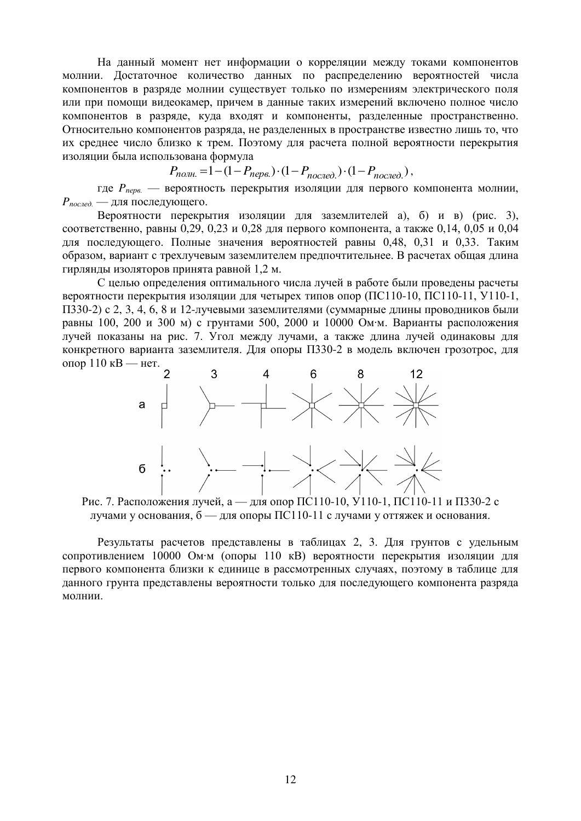На данный момент нет информации о корреляции между токами компонентов молнии. Достаточное количество данных по распределению вероятностей числа компонентов в разряде молнии существует только по измерениям электрического поля или при помощи видеокамер, причем в данные таких измерений включено полное число компонентов в разряде, куда входят и компоненты, разделенные пространственно. Относительно компонентов разряда, не разделенных в пространстве известно лишь то, что их среднее число близко к трем. Поэтому для расчета полной вероятности перекрытия изоляции была использована формула

$$
P_{no27,1} = 1 - (1 - P_{nepe.}) \cdot (1 - P_{no27,1} \cdot (1 - P_{no27,1})),
$$

где *P<sub>neve.</sub>* — вероятность перекрытия изоляции для первого компонента молнии,  $P_{\text{ncoued}}$  — для последующего.

Вероятности перекрытия изоляции для заземлителей а), б) и в) (рис. 3), соответственно, равны 0,29, 0,23 и 0,28 для первого компонента, а также 0,14, 0,05 и 0,04 для последующего. Полные значения вероятностей равны 0,48, 0,31 и 0,33. Таким образом, вариант с трехлучевым заземлителем предпочтительнее. В расчетах общая длина гирлянды изоляторов принята равной 1,2 м.

С целью определения оптимального числа лучей в работе были проведены расчеты вероятности перекрытия изоляции для четырех типов опор (ПС110-10, ПС110-11, У110-1, ПЗЗ0-2) с 2, 3, 4, 6, 8 и 12-лучевыми заземлителями (суммарные длины проводников были равны 100, 200 и 300 м) с грунтами 500, 2000 и 10000 Ом∙м. Варианты расположения лучей показаны на рис. 7. Угол между лучами, а также длина лучей одинаковы для конкретного варианта заземлителя. Для опоры П330-2 в модель включен грозотрос, для опор 110 кВ — нет.



Рис. 7. Расположения лучей, а — для опор ПС110-10, У110-1, ПС110-11 и П330-2 с лучами у основания,  $6 - \mu$ ля опоры ПС110-11 с лучами у оттяжек и основания.

Результаты расчетов представлены в таблицах 2, 3. Для грунтов с удельным сопротивлением 10000 Ом∙м (опоры 110 кВ) вероятности перекрытия изоляции для первого компонента близки к единице в рассмотренных случаях, поэтому в таблице для данного грунта представлены вероятности только для последующего компонента разряда молнии.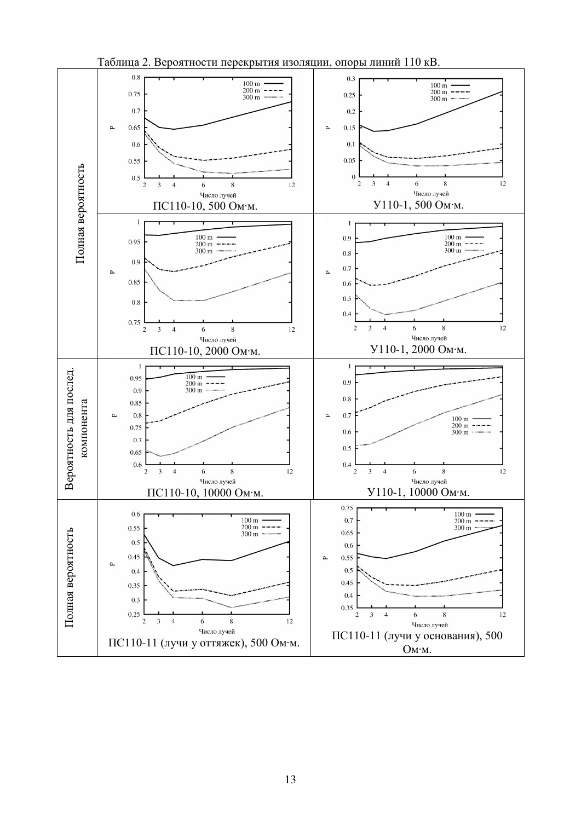

Таблица 2. Вероятности перекрытия изоляции, опоры линий 110 кВ.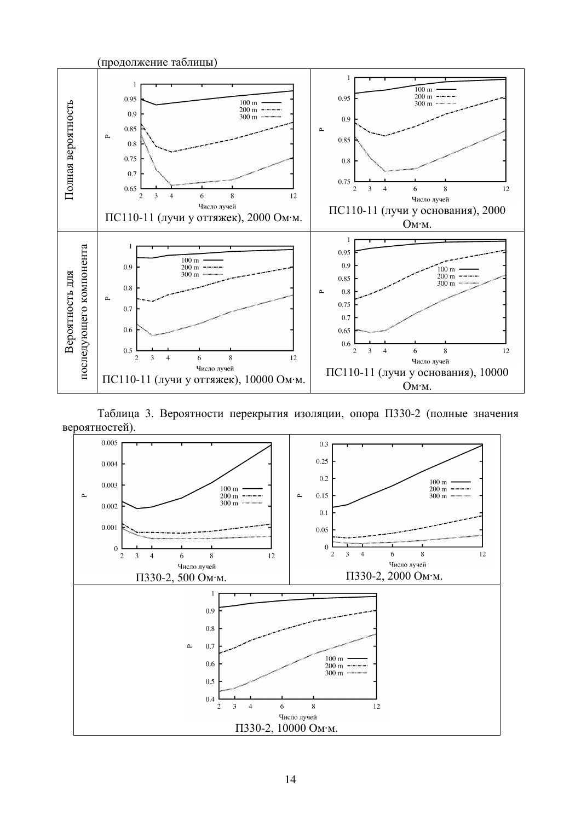

Таблица 3. Вероятности перекрытия изоляции, опора П330-2 (полные значения вероятностей).

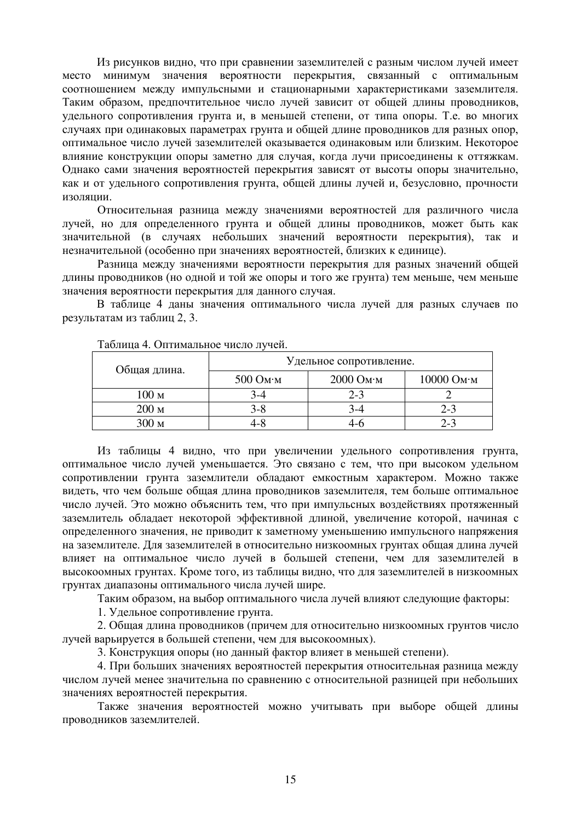Из рисунков видно, что при сравнении заземлителей с разным числом лучей имеет место минимум значения вероятности перекрытия, связанный с оптимальным соотношением между импульсными и стационарными характеристиками заземлителя. Таким образом, предпочтительное число лучей зависит от общей длины проводников, удельного сопротивления грунта и, в меньшей степени, от типа опоры. Т.е. во многих случаях при одинаковых параметрах грунта и общей длине проводников для разных опор, оптимальное число лучей заземлителей оказывается одинаковым или близким. Некоторое влияние конструкции опоры заметно для случая, когда лучи присоединены к оттяжкам. Однако сами значения вероятностей перекрытия зависят от высоты опоры значительно, как и от удельного сопротивления грунта, общей длины лучей и, безусловно, прочности изолянии.

Относительная разница между значениями вероятностей для различного числа лучей, но для определенного грунта и общей длины проводников, может быть как значительной (в случаях небольших значений вероятности перекрытия), так и незначительной (особенно при значениях вероятностей, близких к единице).

Разница между значениями вероятности перекрытия для разных значений общей длины проводников (но одной и той же опоры и того же грунта) тем меньше, чем меньше значения вероятности перекрытия для данного случая.

В таблице 4 ланы значения оптимального числа лучей для разных случаев по результатам из таблиц 2, 3.

| Общая длина.     | Удельное сопротивление.     |                     |            |
|------------------|-----------------------------|---------------------|------------|
|                  | $500 \text{ O}$ M $\cdot$ M | $2000$ Ом $\cdot$ м | 10000 Ом·м |
| 100 <sub>M</sub> |                             | $2 - 3$             |            |
| 200 <sub>M</sub> | $3 - 8$                     |                     | $2 - 3$    |
| 300 м            |                             |                     | $2 - 3$    |

Таблица 4. Оптимальное число лучей.

Из таблицы 4 видно, что при увеличении удельного сопротивления грунта, оптимальное число лучей уменьшается. Это связано с тем, что при высоком удельном сопротивлении грунта заземлители облалают емкостным характером. Можно также видеть, что чем больше общая длина проводников заземлителя, тем больше оптимальное число лучей. Это можно объяснить тем, что при импульсных воздействиях протяженный заземлитель обладает некоторой эффективной длиной, увеличение которой, начиная с определенного значения, не приводит к заметному уменьшению импульсного напряжения на заземлителе. Для заземлителей в относительно низкоомных грунтах общая длина лучей влияет на оптимальное число лучей в большей степени, чем для заземлителей в высокоомных грунтах. Кроме того, из таблицы видно, что для заземлителей в низкоомных грунтах диапазоны оптимального числа лучей шире.

Таким образом, на выбор оптимального числа лучей влияют следующие факторы:

1. Удельное сопротивление грунта.

2. Общая длина проводников (причем для относительно низкоомных грунтов число лучей варьируется в большей степени, чем для высокоомных).

3. Конструкция опоры (но данный фактор влияет в меньшей степени).

4. При больших значениях вероятностей перекрытия относительная разница между числом лучей менее значительна по сравнению с относительной разницей при небольших значениях вероятностей перекрытия.

Также значения вероятностей можно учитывать при выборе общей длины проводников заземлителей.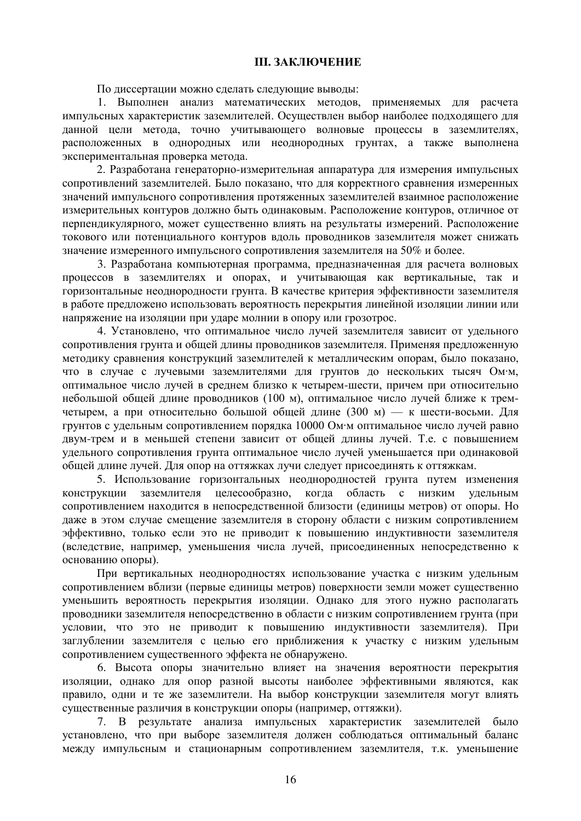#### **III. ЗАКЛЮЧЕНИЕ**

По диссертации можно сделать следующие выводы:

1. Выполнен анализ математических методов, применяемых для расчета импульсных характеристик заземлителей. Осуществлен выбор наиболее подходящего для данной цели метода, точно учитывающего волновые процессы в заземлителях, расположенных в однородных или неоднородных грунтах, а также выполнена экспериментальная проверка метода.

2. Разработана генераторно-измерительная аппаратура для измерения импульсных сопротивлений заземлителей. Было показано, что для корректного сравнения измеренных значений импульсного сопротивления протяженных заземлителей взаимное расположение измерительных контуров должно быть одинаковым. Расположение контуров, отличное от перпендикулярного, может существенно влиять на результаты измерений. Расположение токового или потенциального контуров вдоль проводников заземлителя может снижать значение измеренного импульсного сопротивления заземлителя на 50% и более.

3. Разработана компьютерная программа, предназначенная для расчета волновых процессов в заземлителях и опорах, и учитывающая как вертикальные, так и горизонтальные неоднородности грунта. В качестве критерия эффективности заземлителя в работе предложено использовать вероятность перекрытия линейной изоляции линии или напряжение на изоляции при ударе молнии в опору или грозотрос.

4. Установлено, что оптимальное число лучей заземлителя зависит от удельного сопротивления грунта и общей длины проводников заземлителя. Применяя предложенную методику сравнения конструкций заземлителей к металлическим опорам, было показано, что в случае с лучевыми заземлителями для грунтов до нескольких тысяч Ом∙м, оптимальное число лучей в среднем близко к четырем-шести, причем при относительно небольшой общей длине проводников (100 м), оптимальное число лучей ближе к тремчетырем, а при относительно большой общей длине (300 м) — к шести-восьми. Для грунтов с удельным сопротивлением порядка 10000 Ом∙м оптимальное число лучей равно двум-трем и в меньшей степени зависит от общей длины лучей. Т.е. с повышением удельного сопротивления грунта оптимальное число лучей уменьшается при одинаковой общей длине лучей. Для опор на оттяжках лучи следует присоединять к оттяжкам.

5. Использование горизонтальных неоднородностей грунта путем изменения конструкции заземлителя целесообразно, когда область с низким удельным сопротивлением находится в непосредственной близости (единицы метров) от опоры. Но даже в этом случае смещение заземлителя в сторону области с низким сопротивлением эффективно, только если это не приводит к повышению индуктивности заземлителя (вследствие, например, уменьшения числа лучей, присоединенных непосредственно к основанию опоры).

При вертикальных неоднородностях использование участка с низким удельным сопротивлением вблизи (первые единицы метров) поверхности земли может существенно уменьшить вероятность перекрытия изоляции. Однако для этого нужно располагать проводники заземлителя непосредственно в области с низким сопротивлением грунта (при условии, что это не приводит к повышению индуктивности заземлителя). При заглублении заземлителя с целью его приближения к участку с низким удельным сопротивлением существенного эффекта не обнаружено.

6. Высота опоры значительно влияет на значения вероятности перекрытия изоляции, однако для опор разной высоты наиболее эффективными являются, как правило, одни и те же заземлители. На выбор конструкции заземлителя могут влиять существенные различия в конструкции опоры (например, оттяжки).

7. В результате анализа импульсных характеристик заземлителей было установлено, что при выборе заземлителя должен соблюдаться оптимальный баланс между импульсным и стационарным сопротивлением заземлителя, т.к. уменьшение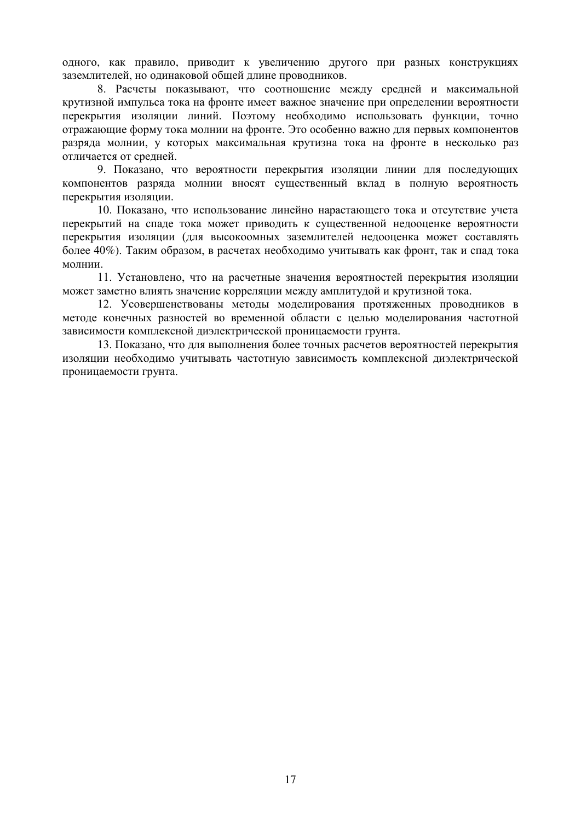одного, как правило, приводит к увеличению другого при разных конструкциях заземлителей, но одинаковой общей длине проводников.

8. Расчеты показывают, что соотношение между средней и максимальной крутизной импульса тока на фронте имеет важное значение при определении вероятности перекрытия изоляции линий. Поэтому необходимо использовать функции, точно отражающие форму тока молнии на фронте. Это особенно важно для первых компонентов разряда молнии, у которых максимальная крутизна тока на фронте в несколько раз отличается от средней.

9. Показано, что вероятности перекрытия изоляции линии для последующих компонентов разряда молнии вносят существенный вклад в полную вероятность перекрытия изоляции.

10. Показано, что использование линейно нарастающего тока и отсутствие учета перекрытий на спаде тока может приводить к существенной недооценке вероятности перекрытия изоляции (для высокоомных заземлителей недооценка может составлять более 40%). Таким образом, в расчетах необходимо учитывать как фронт, так и спад тока молнии.

11. Установлено, что на расчетные значения вероятностей перекрытия изоляции может заметно влиять значение корреляции между амплитудой и крутизной тока.

12. Усовершенствованы методы моделирования протяженных проводников в методе конечных разностей во временной области с целью моделирования частотной зависимости комплексной диэлектрической проницаемости грунта.

13. Показано, что для выполнения более точных расчетов вероятностей перекрытия изоляции необходимо учитывать частотную зависимость комплексной диэлектрической проницаемости грунта.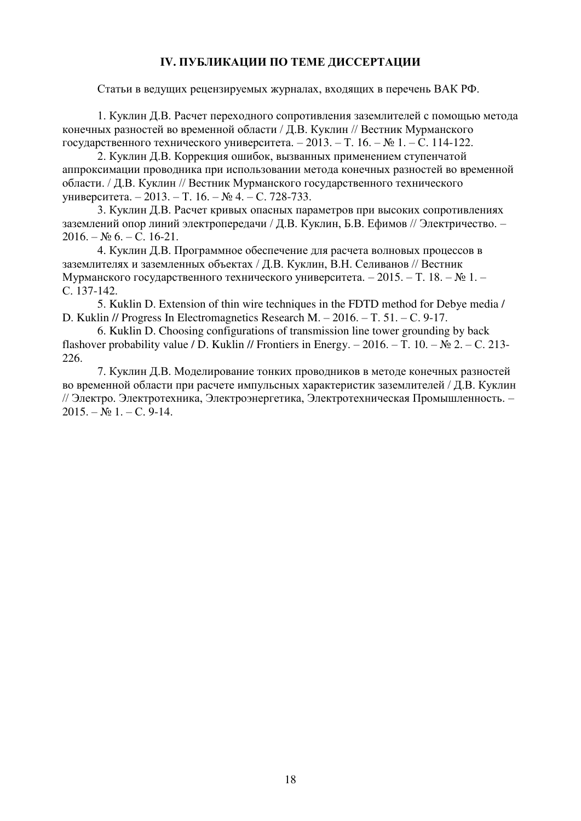# **ІV. ПУБЛИКАЦИИ ПО ТЕМЕ ЛИССЕРТАЦИИ**

Статьи в ведущих рецензируемых журналах, входящих в перечень ВАК РФ.

1. Куклин Д.В. Расчет переходного сопротивления заземлителей с помощью метода конечных разностей во временной области / Д.В. Куклин // Вестник Мурманского государственного технического университета. – 2013. – Т. 16. – № 1. – С. 114-122.

2. Куклин Д.В. Коррекция ошибок, вызванных применением ступенчатой аппроксимации проводника при использовании метода конечных разностей во временной области. / Д.В. Куклин // Вестник Мурманского государственного технического университета. – 2013. – Т. 16. – № 4. – С. 728-733.

3. Куклин Л.В. Расчет кривых опасных параметров при высоких сопротивлениях заземлений опор линий электропередачи / Д.В. Куклин, Б.В. Ефимов // Электричество. –  $2016. - N_2 6. - C. 16-21.$ 

4. Куклин Д.В. Программное обеспечение для расчета волновых процессов в заземлителях и заземленных объектах / Д.В. Куклин, В.Н. Селиванов // Вестник Мурманского государственного технического университета. – 2015. – Т. 18. – № 1. – C. 137-142.

5. Kuklin D. Extension of thin wire techniques in the FDTD method for Debye media / D. Kuklin // Progress In Electromagnetics Research M.  $-2016$ .  $-$  T. 51.  $-$  C. 9-17.

6. Kuklin D. Choosing configurations of transmission line tower grounding by back flashover probability value / D. Kuklin // Frontiers in Energy. – 2016. – T. 10. – № 2. – C. 213-226.

7. Куклин Л.В. Молелирование тонких проволников в метоле конечных разностей во временной области при расчете импульсных характеристик заземлителей / Д.В. Куклин // Электро. Электротехника, Электроэнергетика, Электротехническая Промышленность. –  $2015. - N_2 1. - C. 9-14.$